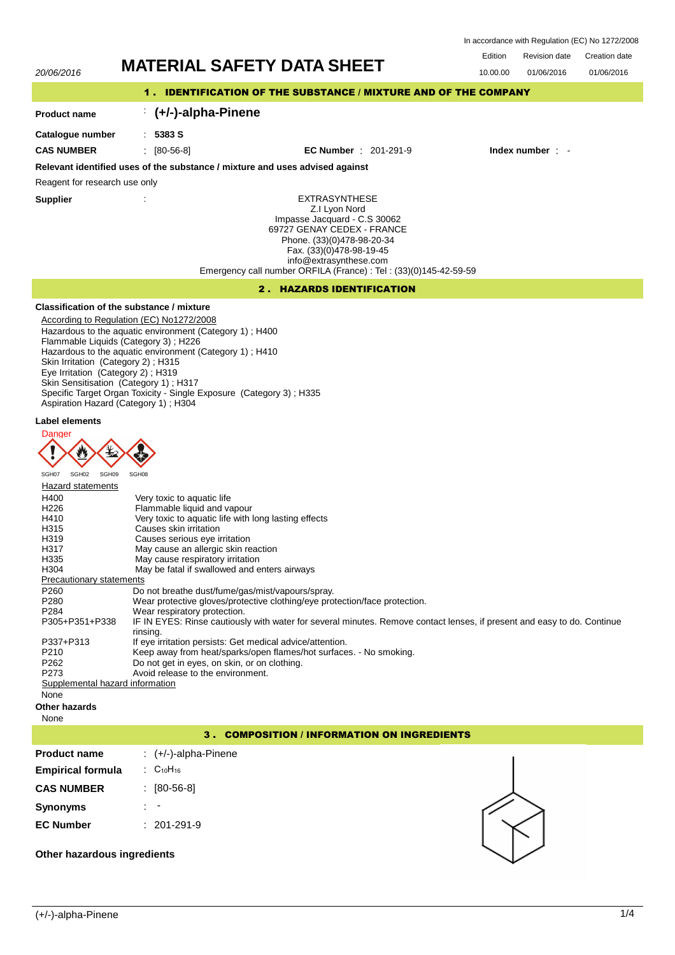In accordance with Regulation (EC) No 1272/2008

Edition Revision date Creation date 20/06/2016 **MATERIAL SAFETY DATA SHEET** 10.00.00 01/06/2016 01/06/2016 1 . IDENTIFICATION OF THE SUBSTANCE / MIXTURE AND OF THE COMPANY : **(+/-)-alpha-Pinene Product name Catalogue number** : **5383 S CAS NUMBER** : [80-56-8] **EC Number** : 201-291-9 **Index number** : - **Relevant identified uses of the substance / mixture and uses advised against** Reagent for research use only **Supplier** : EXTRASYNTHESE Z.I Lyon Nord Impasse Jacquard - C.S 30062 69727 GENAY CEDEX - FRANCE Phone. (33)(0)478-98-20-34 Fax. (33)(0)478-98-19-45 info@extrasynthese.com Emergency call number ORFILA (France) : Tel : (33)(0)145-42-59-59 2 . HAZARDS IDENTIFICATION **Classification of the substance / mixture** According to Regulation (EC) No1272/2008 Hazardous to the aquatic environment (Category 1) ; H400 Flammable Liquids (Category 3) ; H226 Hazardous to the aquatic environment (Category 1) ; H410 Skin Irritation (Category 2) ; H315 Eye Irritation (Category 2) ; H319 Skin Sensitisation (Category 1) ; H317 Specific Target Organ Toxicity - Single Exposure (Category 3) ; H335 Aspiration Hazard (Category 1) ; H304 **Label elements Danger**  $\sqrt{2}$ SGH07 SGH02 SGH09 **Hazard statements** H400 Very toxic to aquatic life H226 Flammable liquid and vapour<br>H410 **Flammable User Very toxic to aquatic life with** H410 Very toxic to aquatic life with long lasting effects<br>
H315 Causes skin irritation H315 Causes skin irritation<br>H319 Causes serious eve i Causes serious eve irritation H317 May cause an allergic skin reaction H335 May cause respiratory irritation<br>H304 May be fatal if swallowed and e May be fatal if swallowed and enters airways Precautionary statements P260 Do not breathe dust/fume/gas/mist/vapours/spray.<br>P280 Wear protective gloves/protective clothing/eve pro P280 Wear protective gloves/protective clothing/eye protection/face protection.<br>P284 Wear respiratory protection. Wear respiratory protection. P305+P351+P338 IF IN EYES: Rinse cautiously with water for several minutes. Remove contact lenses, if present and easy to do. Continue rinsing. P337+P313 If eye irritation persists: Get medical advice/attention.<br>P210 **If example advace to a value of the example of the Vicela** P210 Keep away from heat/sparks/open flames/hot surfaces. - No smoking.<br>P262 Do not get in eyes, on skin, or on clothing. P262 Do not get in eyes, on skin, or on clothing.<br>P273 Avoid release to the environment Avoid release to the environment. Supplemental hazard information None **Other hazards** None 3 . COMPOSITION / INFORMATION ON INGREDIENTS **Product name** : (+/-)-alpha-Pinene **Empirical formula** :  $C_{10}H_{16}$ **CAS NUMBER** : [80-56-8] **Synonyms** : - **EC Number** : 201-291-9

## **Other hazardous ingredients**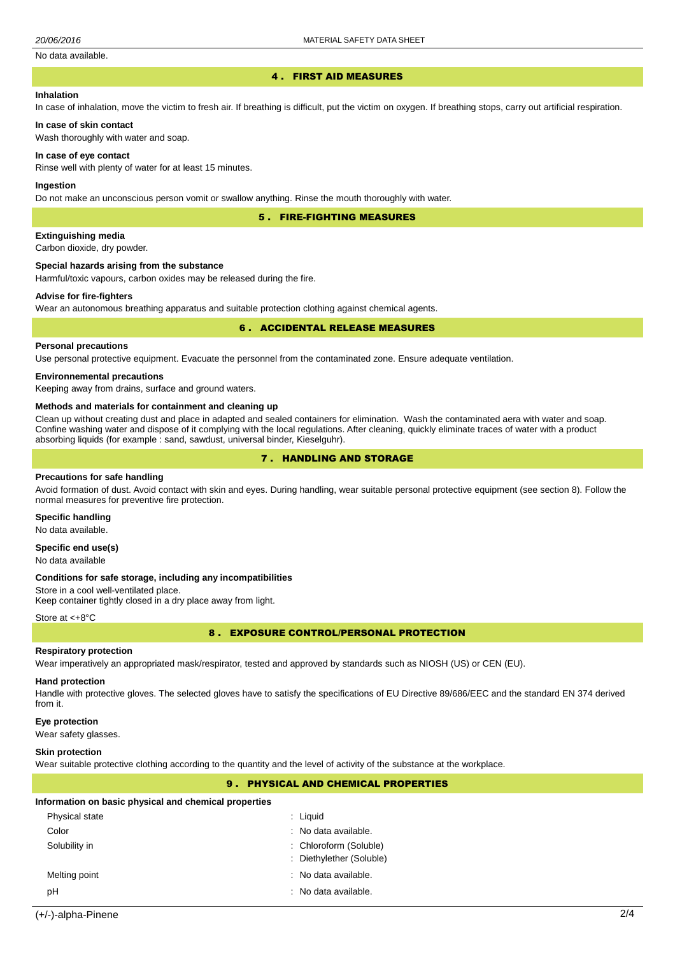## No data available.

#### 4 . FIRST AID MEASURES

## **Inhalation**

In case of inhalation, move the victim to fresh air. If breathing is difficult, put the victim on oxygen. If breathing stops, carry out artificial respiration.

#### **In case of skin contact**

Wash thoroughly with water and soap.

#### **In case of eye contact**

Rinse well with plenty of water for at least 15 minutes.

#### **Ingestion**

Do not make an unconscious person vomit or swallow anything. Rinse the mouth thoroughly with water.

5 . FIRE-FIGHTING MEASURES

#### **Extinguishing media**

Carbon dioxide, dry powder.

## **Special hazards arising from the substance**

Harmful/toxic vapours, carbon oxides may be released during the fire.

#### **Advise for fire-fighters**

Wear an autonomous breathing apparatus and suitable protection clothing against chemical agents.

## 6 . ACCIDENTAL RELEASE MEASURES

#### **Personal precautions**

Use personal protective equipment. Evacuate the personnel from the contaminated zone. Ensure adequate ventilation.

#### **Environnemental precautions**

Keeping away from drains, surface and ground waters.

### **Methods and materials for containment and cleaning up**

Clean up without creating dust and place in adapted and sealed containers for elimination. Wash the contaminated aera with water and soap. Confine washing water and dispose of it complying with the local regulations. After cleaning, quickly eliminate traces of water with a product absorbing liquids (for example : sand, sawdust, universal binder, Kieselguhr).

## 7 . HANDLING AND STORAGE

# **Precautions for safe handling**

Avoid formation of dust. Avoid contact with skin and eyes. During handling, wear suitable personal protective equipment (see section 8). Follow the normal measures for preventive fire protection.

# **Specific handling**

No data available.

## **Specific end use(s)**

No data available

#### **Conditions for safe storage, including any incompatibilities**

Store in a cool well-ventilated place.

Keep container tightly closed in a dry place away from light.

### Store at <+8°C

8 . EXPOSURE CONTROL/PERSONAL PROTECTION

### **Respiratory protection**

Wear imperatively an appropriated mask/respirator, tested and approved by standards such as NIOSH (US) or CEN (EU).

#### **Hand protection**

Handle with protective gloves. The selected gloves have to satisfy the specifications of EU Directive 89/686/EEC and the standard EN 374 derived from it.

#### **Eye protection**

Wear safety glasses.

#### **Skin protection**

Wear suitable protective clothing according to the quantity and the level of activity of the substance at the workplace.

#### 9 . PHYSICAL AND CHEMICAL PROPERTIES

|  | Information on basic physical and chemical properties |  |  |  |  |
|--|-------------------------------------------------------|--|--|--|--|
|--|-------------------------------------------------------|--|--|--|--|

| <b>Physical state</b> | $:$ Liquid                      |
|-----------------------|---------------------------------|
| Color                 | $\therefore$ No data available. |
| Solubility in         | : Chloroform (Soluble)          |
|                       | : Diethylether (Soluble)        |
| Melting point         | $\therefore$ No data available. |
| рH                    | $:$ No data available.          |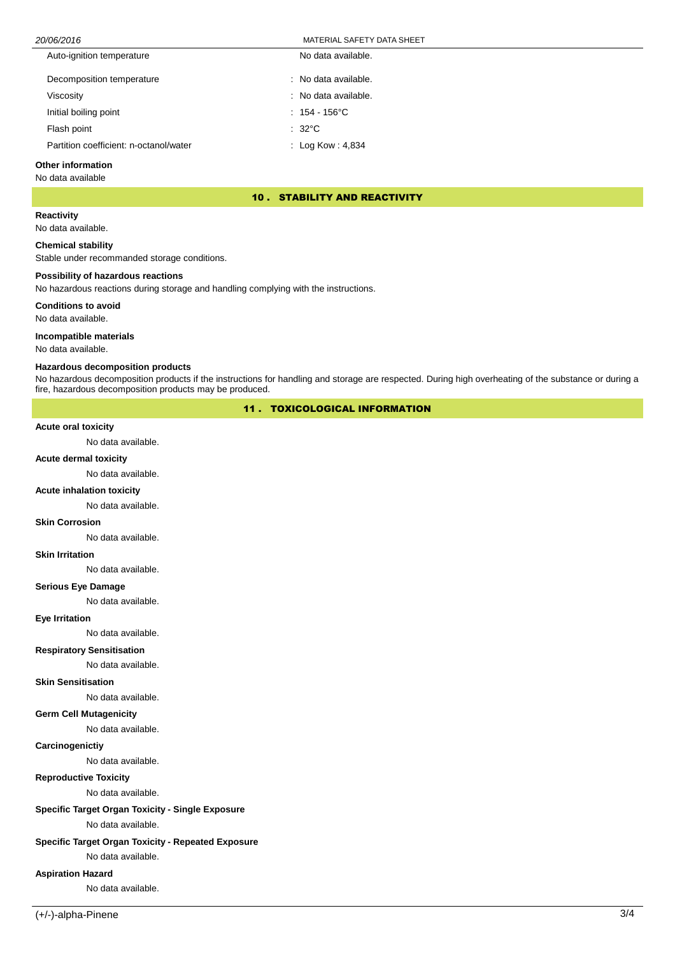## 20/06/2016 MATERIAL SAFETY DATA SHEET

| Auto-ignition temperature              | No data available.           |
|----------------------------------------|------------------------------|
| Decomposition temperature              | : No data available.         |
| Viscositv                              | : No data available.         |
| Initial boiling point                  | $: 154 - 156^{\circ}$ C      |
| Flash point                            | $\therefore$ 32°C            |
| Partition coefficient: n-octanol/water | $\therefore$ Log Kow : 4,834 |

## **Other information**

No data available

## 10 . STABILITY AND REACTIVITY

## **Reactivity**

No data available.

## **Chemical stability**

Stable under recommanded storage conditions.

## **Possibility of hazardous reactions**

No hazardous reactions during storage and handling complying with the instructions.

## **Conditions to avoid**

No data available.

## **Incompatible materials**

No data available.

## **Hazardous decomposition products**

No hazardous decomposition products if the instructions for handling and storage are respected. During high overheating of the substance or during a fire, hazardous decomposition products may be produced.

## 11 . TOXICOLOGICAL INFORMATION

## **Acute oral toxicity**

No data available.

## **Acute dermal toxicity**

No data available.

## **Acute inhalation toxicity**

No data available.

#### **Skin Corrosion**

No data available.

# **Skin Irritation**

No data available.

# **Serious Eye Damage**

No data available.

#### **Eye Irritation**

No data available.

#### **Respiratory Sensitisation**

No data available.

#### **Skin Sensitisation**

No data available.

# **Germ Cell Mutagenicity**

No data available.

## **Carcinogenictiy**

No data available.

## **Reproductive Toxicity**

No data available.

# **Specific Target Organ Toxicity - Single Exposure**

No data available.

# **Specific Target Organ Toxicity - Repeated Exposure**

No data available.

## **Aspiration Hazard**

No data available.